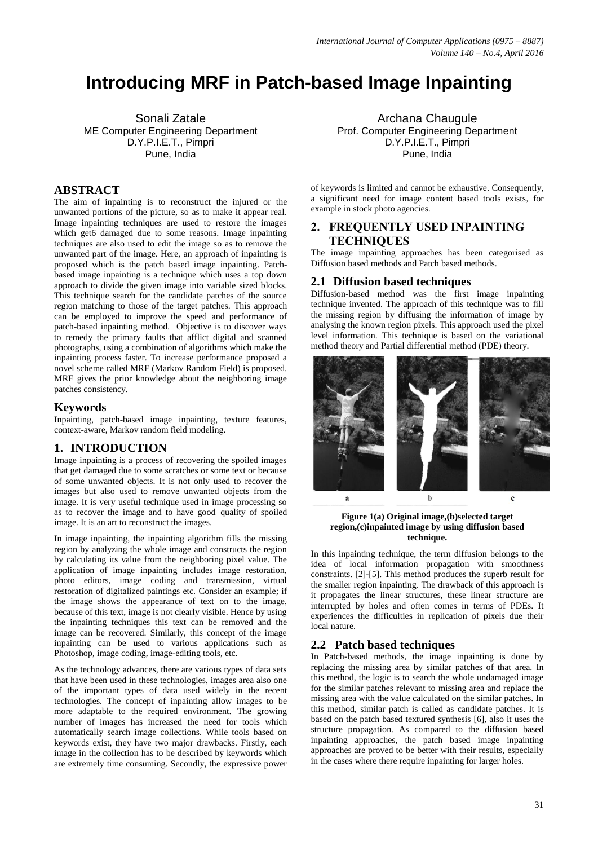# **Introducing MRF in Patch-based Image Inpainting**

Sonali Zatale ME Computer Engineering Department D.Y.P.I.E.T., Pimpri Pune, India

# **ABSTRACT**

The aim of inpainting is to reconstruct the injured or the unwanted portions of the picture, so as to make it appear real. Image inpainting techniques are used to restore the images which get6 damaged due to some reasons. Image inpainting techniques are also used to edit the image so as to remove the unwanted part of the image. Here, an approach of inpainting is proposed which is the patch based image inpainting. Patchbased image inpainting is a technique which uses a top down approach to divide the given image into variable sized blocks. This technique search for the candidate patches of the source region matching to those of the target patches. This approach can be employed to improve the speed and performance of patch-based inpainting method*.* Objective is to discover ways to remedy the primary faults that afflict digital and scanned photographs, using a combination of algorithms which make the inpainting process faster. To increase performance proposed a novel scheme called MRF (Markov Random Field) is proposed. MRF gives the prior knowledge about the neighboring image patches consistency.

## **Keywords**

Inpainting, patch-based image inpainting, texture features, context-aware, Markov random field modeling.

## **1. INTRODUCTION**

Image inpainting is a process of recovering the spoiled images that get damaged due to some scratches or some text or because of some unwanted objects. It is not only used to recover the images but also used to remove unwanted objects from the image. It is very useful technique used in image processing so as to recover the image and to have good quality of spoiled image. It is an art to reconstruct the images.

In image inpainting, the inpainting algorithm fills the missing region by analyzing the whole image and constructs the region by calculating its value from the neighboring pixel value. The application of image inpainting includes image restoration, photo editors, image coding and transmission, virtual restoration of digitalized paintings etc. Consider an example; if the image shows the appearance of text on to the image, because of this text, image is not clearly visible. Hence by using the inpainting techniques this text can be removed and the image can be recovered. Similarly, this concept of the image inpainting can be used to various applications such as Photoshop, image coding, image-editing tools, etc.

As the technology advances, there are various types of data sets that have been used in these technologies, images area also one of the important types of data used widely in the recent technologies. The concept of inpainting allow images to be more adaptable to the required environment. The growing number of images has increased the need for tools which automatically search image collections. While tools based on keywords exist, they have two major drawbacks. Firstly, each image in the collection has to be described by keywords which are extremely time consuming. Secondly, the expressive power

Archana Chaugule Prof. Computer Engineering Department D.Y.P.I.E.T., Pimpri Pune, India

of keywords is limited and cannot be exhaustive. Consequently, a significant need for image content based tools exists, for example in stock photo agencies.

## **2. FREQUENTLY USED INPAINTING TECHNIQUES**

The image inpainting approaches has been categorised as Diffusion based methods and Patch based methods.

## **2.1 Diffusion based techniques**

Diffusion-based method was the first image inpainting technique invented. The approach of this technique was to fill the missing region by diffusing the information of image by analysing the known region pixels. This approach used the pixel level information. This technique is based on the variational method theory and Partial differential method (PDE) theory.



#### **Figure 1(a) Original image,(b)selected target region,(c)inpainted image by using diffusion based technique.**

In this inpainting technique, the term diffusion belongs to the idea of local information propagation with smoothness constraints. [2]-[5]. This method produces the superb result for the smaller region inpainting. The drawback of this approach is it propagates the linear structures, these linear structure are interrupted by holes and often comes in terms of PDEs. It experiences the difficulties in replication of pixels due their local nature.

## **2.2 Patch based techniques**

In Patch-based methods, the image inpainting is done by replacing the missing area by similar patches of that area. In this method, the logic is to search the whole undamaged image for the similar patches relevant to missing area and replace the missing area with the value calculated on the similar patches. In this method, similar patch is called as candidate patches. It is based on the patch based textured synthesis [6], also it uses the structure propagation. As compared to the diffusion based inpainting approaches, the patch based image inpainting approaches are proved to be better with their results, especially in the cases where there require inpainting for larger holes.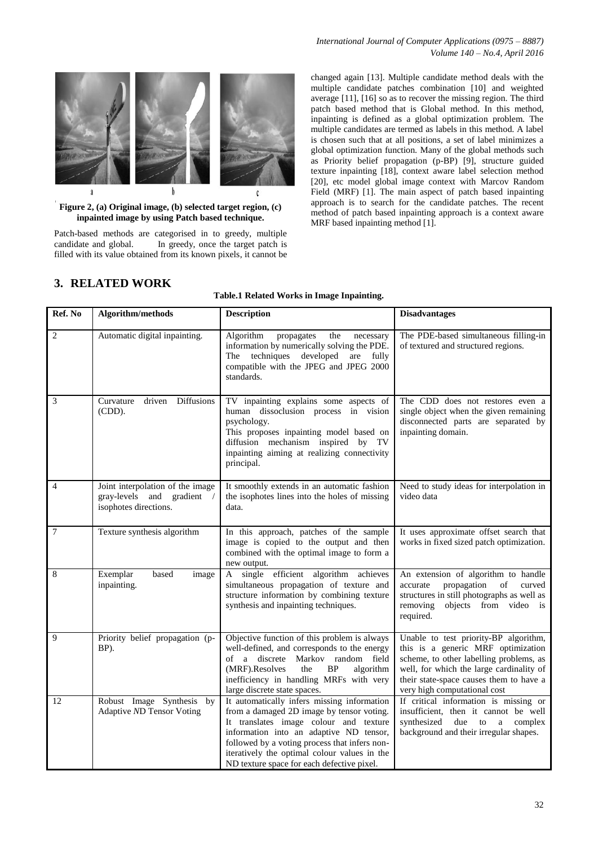### *International Journal of Computer Applications (0975 – 8887) Volume 140 – No.4, April 2016*



**Figure 2, (a) Original image, (b) selected target region, (c) inpainted image by using Patch based technique.**

Patch-based methods are categorised in to greedy, multiple candidate and global. In greedy, once the target patch is filled with its value obtained from its known pixels, it cannot be

changed again [13]. Multiple candidate method deals with the multiple candidate patches combination [10] and weighted average [11], [16] so as to recover the missing region. The third patch based method that is Global method. In this method, inpainting is defined as a global optimization problem. The multiple candidates are termed as labels in this method. A label is chosen such that at all positions, a set of label minimizes a global optimization function. Many of the global methods such as Priority belief propagation (p-BP) [9], structure guided texture inpainting [18], context aware label selection method [20], etc model global image context with Marcov Random Field (MRF) [1]. The main aspect of patch based inpainting approach is to search for the candidate patches. The recent method of patch based inpainting approach is a context aware MRF based inpainting method [1].

# **3. RELATED WORK**

#### **Table.1 Related Works in Image Inpainting.**

| Ref. No        | Algorithm/methods                                                                       | <b>Description</b>                                                                                                                                                                                                                                                                                                           | <b>Disadvantages</b>                                                                                                                                                                                                                          |
|----------------|-----------------------------------------------------------------------------------------|------------------------------------------------------------------------------------------------------------------------------------------------------------------------------------------------------------------------------------------------------------------------------------------------------------------------------|-----------------------------------------------------------------------------------------------------------------------------------------------------------------------------------------------------------------------------------------------|
| $\overline{c}$ | Automatic digital inpainting.                                                           | Algorithm<br>the<br>propagates<br>necessary<br>information by numerically solving the PDE.<br>techniques developed<br>are fully<br>The<br>compatible with the JPEG and JPEG 2000<br>standards.                                                                                                                               | The PDE-based simultaneous filling-in<br>of textured and structured regions.                                                                                                                                                                  |
| 3              | Curvature<br>driven<br>Diffusions<br>(CDD).                                             | TV inpainting explains some aspects of<br>human dissoclusion process in vision<br>psychology.<br>This proposes inpainting model based on<br>diffusion mechanism inspired by TV<br>inpainting aiming at realizing connectivity<br>principal.                                                                                  | The CDD does not restores even a<br>single object when the given remaining<br>disconnected parts are separated by<br>inpainting domain.                                                                                                       |
| 4              | Joint interpolation of the image<br>gray-levels and gradient /<br>isophotes directions. | It smoothly extends in an automatic fashion<br>the isophotes lines into the holes of missing<br>data.                                                                                                                                                                                                                        | Need to study ideas for interpolation in<br>video data                                                                                                                                                                                        |
| 7              | Texture synthesis algorithm                                                             | In this approach, patches of the sample<br>image is copied to the output and then<br>combined with the optimal image to form a<br>new output.                                                                                                                                                                                | It uses approximate offset search that<br>works in fixed sized patch optimization.                                                                                                                                                            |
| 8              | Exemplar<br>based<br>image<br>inpainting.                                               | A single efficient algorithm achieves<br>simultaneous propagation of texture and<br>structure information by combining texture<br>synthesis and inpainting techniques.                                                                                                                                                       | An extension of algorithm to handle<br>propagation<br>of<br>accurate<br>curved<br>structures in still photographs as well as<br>objects from video is<br>removing<br>required.                                                                |
| 9              | Priority belief propagation (p-<br>BP).                                                 | Objective function of this problem is always<br>well-defined, and corresponds to the energy<br>of a discrete Markov random field<br>(MRF).Resolves<br><b>BP</b><br>the<br>algorithm<br>inefficiency in handling MRFs with very<br>large discrete state spaces.                                                               | Unable to test priority-BP algorithm,<br>this is a generic MRF optimization<br>scheme, to other labelling problems, as<br>well, for which the large cardinality of<br>their state-space causes them to have a<br>very high computational cost |
| 12             | Robust Image Synthesis by<br>Adaptive ND Tensor Voting                                  | It automatically infers missing information<br>from a damaged 2D image by tensor voting.<br>It translates image colour and texture<br>information into an adaptive ND tensor,<br>followed by a voting process that infers non-<br>iteratively the optimal colour values in the<br>ND texture space for each defective pixel. | If critical information is missing or<br>insufficient, then it cannot be well<br>synthesized<br>due to a<br>complex<br>background and their irregular shapes.                                                                                 |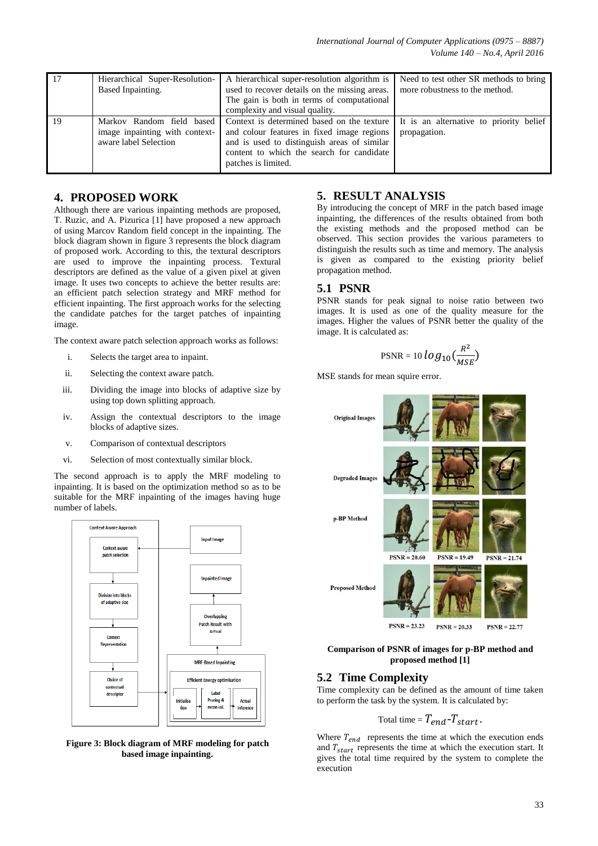| 17 | Hierarchical Super-Resolution-<br>Based Inpainting.                                  | A hierarchical super-resolution algorithm is<br>used to recover details on the missing areas.<br>The gain is both in terms of computational<br>complexity and visual quality.                                                                         | Need to test other SR methods to bring<br>more robustness to the method. |
|----|--------------------------------------------------------------------------------------|-------------------------------------------------------------------------------------------------------------------------------------------------------------------------------------------------------------------------------------------------------|--------------------------------------------------------------------------|
| 19 | Markov Random field based<br>image inpainting with context-<br>aware label Selection | Context is determined based on the texture   It is an alternative to priority belief<br>and colour features in fixed image regions<br>and is used to distinguish areas of similar<br>content to which the search for candidate<br>patches is limited. | propagation.                                                             |

## **4. PROPOSED WORK**

Although there are various inpainting methods are proposed, T. Ruzic, and A. Pizurica [1] have proposed a new approach of using Marcov Random field concept in the inpainting. The block diagram shown in figure 3 represents the block diagram of proposed work. According to this, the textural descriptors are used to improve the inpainting process. Textural descriptors are defined as the value of a given pixel at given image. It uses two concepts to achieve the better results are: an efficient patch selection strategy and MRF method for efficient inpainting. The first approach works for the selecting the candidate patches for the target patches of inpainting image.

The context aware patch selection approach works as follows:

- i. Selects the target area to inpaint.
- ii. Selecting the context aware patch.
- iii. Dividing the image into blocks of adaptive size by using top down splitting approach.
- iv. Assign the contextual descriptors to the image blocks of adaptive sizes.
- v. Comparison of contextual descriptors
- vi. Selection of most contextually similar block.

The second approach is to apply the MRF modeling to inpainting. It is based on the optimization method so as to be suitable for the MRF inpainting of the images having huge number of labels.



**Figure 3: Block diagram of MRF modeling for patch based image inpainting.**

# **5. RESULT ANALYSIS**

By introducing the concept of MRF in the patch based image inpainting, the differences of the results obtained from both the existing methods and the proposed method can be observed. This section provides the various parameters to distinguish the results such as time and memory. The analysis is given as compared to the existing priority belief propagation method.

## **5.1 PSNR**

PSNR stands for peak signal to noise ratio between two images. It is used as one of the quality measure for the images. Higher the values of PSNR better the quality of the image. It is calculated as:

$$
\text{PSNR} = 10 \log_{10} \left( \frac{R^2}{MSE} \right)
$$

MSE stands for mean squire error.



#### **Comparison of PSNR of images for p-BP method and proposed method [1]**

## **5.2 Time Complexity**

Time complexity can be defined as the amount of time taken to perform the task by the system. It is calculated by:

$$
Total time = T_{end} - T_{start}.
$$

Where  $T_{end}$  represents the time at which the execution ends and  $T_{start}$  represents the time at which the execution start. It gives the total time required by the system to complete the execution